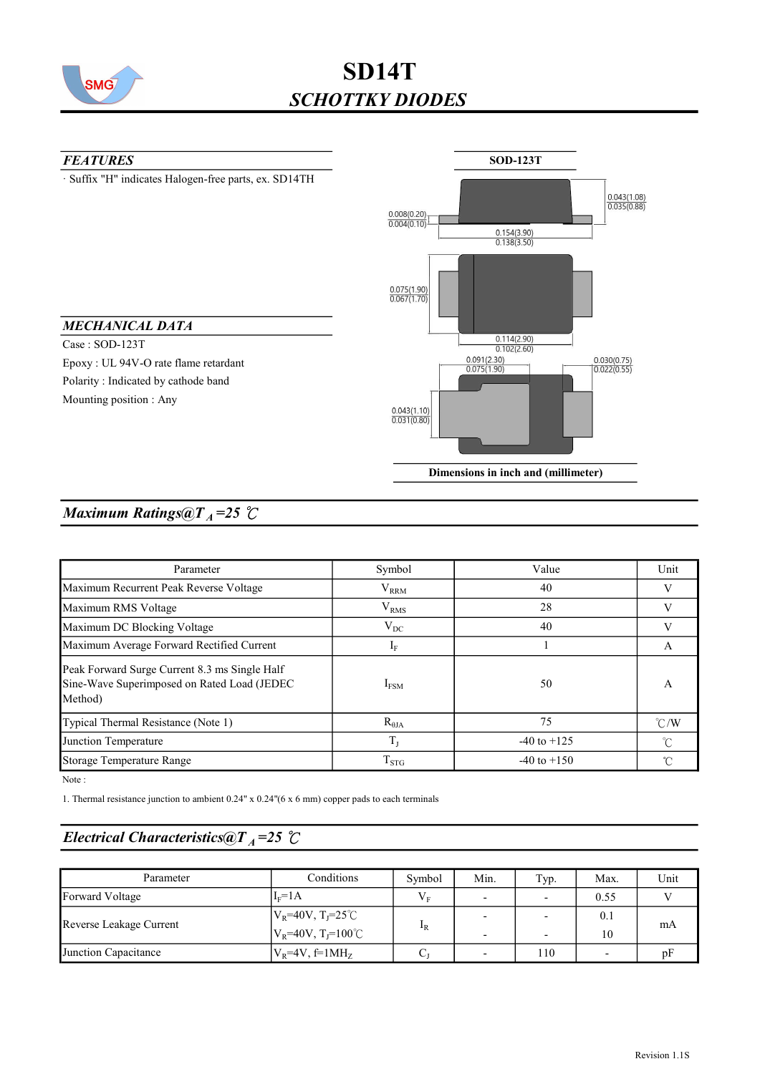

# SD14T SCHOTTKY DIODES



## Maximum Ratings@ $T_A = 25$  °C

| Parameter                                                                                               | Symbol                        | Value           | Unit          |
|---------------------------------------------------------------------------------------------------------|-------------------------------|-----------------|---------------|
| Maximum Recurrent Peak Reverse Voltage                                                                  | $V_{RRM}$<br>40               |                 |               |
| Maximum RMS Voltage                                                                                     | V <sub>RMS</sub><br>28        |                 | V             |
| Maximum DC Blocking Voltage                                                                             | $V_{DC}$<br>40                |                 |               |
| Maximum Average Forward Rectified Current                                                               | $I_F$                         |                 | A             |
| Peak Forward Surge Current 8.3 ms Single Half<br>Sine-Wave Superimposed on Rated Load (JEDEC<br>Method) | $I_{FSM}$                     | 50              | A             |
| Typical Thermal Resistance (Note 1)                                                                     | $R_{\theta JA}$               | 75              | $\degree$ C/W |
| Junction Temperature                                                                                    | $T_{\scriptscriptstyle\rm I}$ | $-40$ to $+125$ | °C            |
| Storage Temperature Range                                                                               | $T_{STG}$                     | $-40$ to $+150$ | ົ             |

Note :

1. Thermal resistance junction to ambient 0.24" x 0.24"(6 x 6 mm) copper pads to each terminals

## Electrical Characteristics@T<sub>A</sub>=25 °C

| Parameter               | Conditions                                                                    | Symbol      | Min. | Typ.                     | Max.      | Unit |
|-------------------------|-------------------------------------------------------------------------------|-------------|------|--------------------------|-----------|------|
| Forward Voltage         | $Iv=1A$                                                                       | $V_{\rm r}$ |      | $\overline{\phantom{0}}$ | 0.55      |      |
| Reverse Leakage Current | $V_R$ =40V, T <sub>J</sub> =25 <sup>°</sup> C<br>$ V_R=40V, T_I=100^{\circ}C$ |             |      |                          | 0.1<br>10 | mA   |
| Junction Capacitance    | $V_R$ =4V, f=1MH <sub>z</sub>                                                 | C.          |      | 110                      |           | ηF   |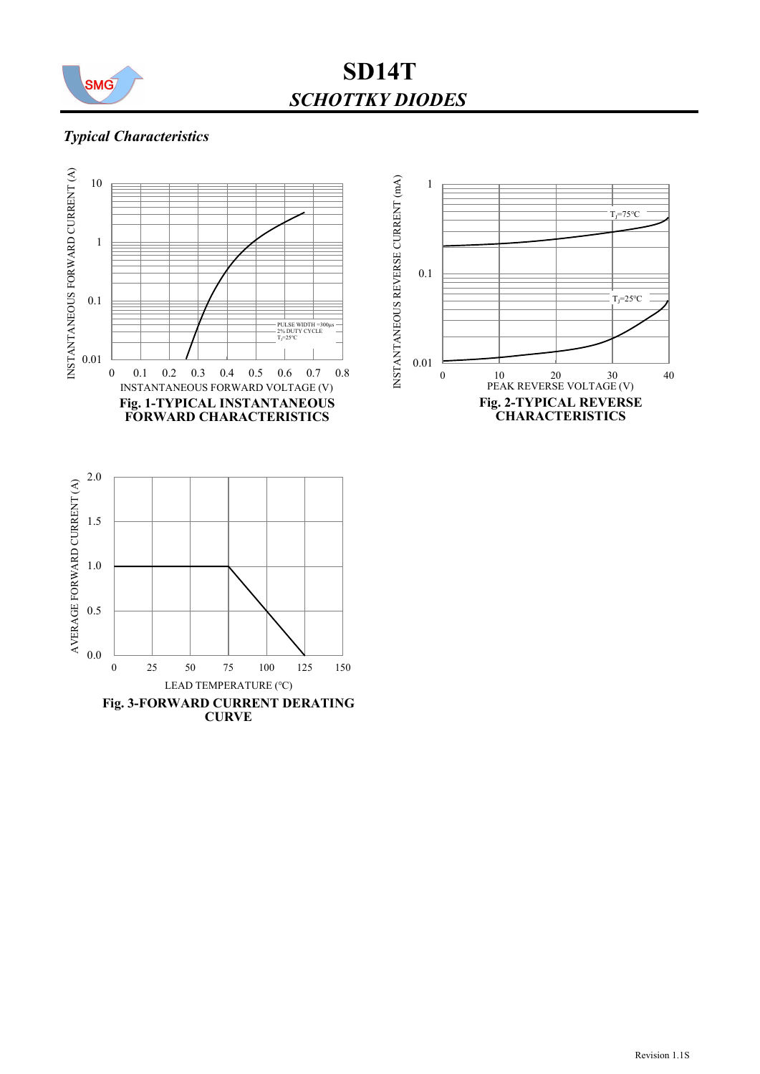

SCHOTTKY DIODES SD14T

#### Typical Characteristics

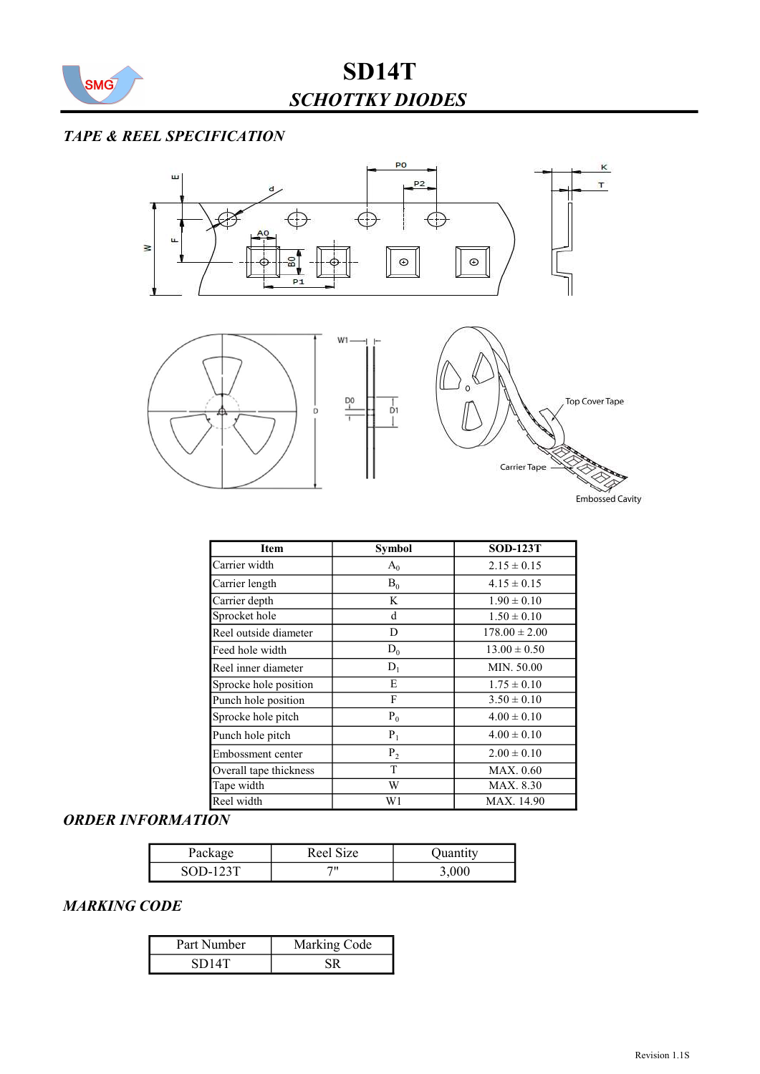

### TAPE & REEL SPECIFICATION



| Item                   | <b>Symbol</b> | <b>SOD-123T</b>   |
|------------------------|---------------|-------------------|
| Carrier width          | $A_0$         | $2.15 \pm 0.15$   |
| Carrier length         | $B_0$         | $4.15 \pm 0.15$   |
| Carrier depth          | K             | $1.90 \pm 0.10$   |
| Sprocket hole          | d             | $1.50 \pm 0.10$   |
| Reel outside diameter  | D             | $178.00 \pm 2.00$ |
| Feed hole width        | $D_0$         | $13.00 \pm 0.50$  |
| Reel inner diameter    | $D_1$         | MIN. 50.00        |
| Sprocke hole position  | E             | $1.75 \pm 0.10$   |
| Punch hole position    | F             | $3.50 \pm 0.10$   |
| Sprocke hole pitch     | $P_0$         | $4.00 \pm 0.10$   |
| Punch hole pitch       | $P_1$         | $4.00 \pm 0.10$   |
| Embossment center      | $P_2$         | $2.00 \pm 0.10$   |
| Overall tape thickness | T             | MAX. 0.60         |
| Tape width             | W             | MAX. 8.30         |
| Reel width             | W1            | MAX. 14.90        |

## ORDER INFORMATION

| Package    | Reel Size | Quantity |
|------------|-----------|----------|
| $SOD-123T$ |           | 3,000    |

#### MARKING CODE

| Part Number | Marking Code |  |  |
|-------------|--------------|--|--|
| SD14T       |              |  |  |